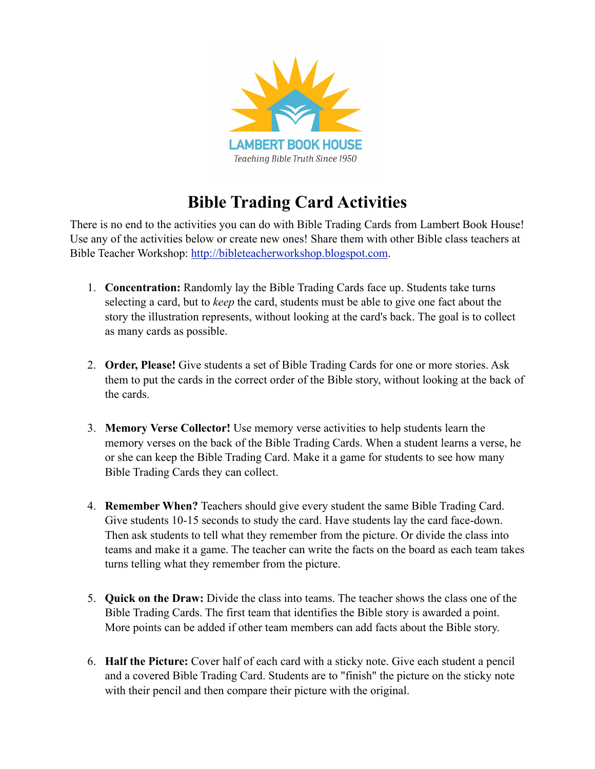

## **Bible Trading Card Activities**

There is no end to the activities you can do with Bible Trading Cards from Lambert Book House! Use any of the activities below or create new ones! Share them with other Bible class teachers at Bible Teacher Workshop: <http://bibleteacherworkshop.blogspot.com>.

- 1. **Concentration:** Randomly lay the Bible Trading Cards face up. Students take turns selecting a card, but to *keep* the card, students must be able to give one fact about the story the illustration represents, without looking at the card's back. The goal is to collect as many cards as possible.
- 2. **Order, Please!** Give students a set of Bible Trading Cards for one or more stories. Ask them to put the cards in the correct order of the Bible story, without looking at the back of the cards.
- 3. **Memory Verse Collector!** Use memory verse activities to help students learn the memory verses on the back of the Bible Trading Cards. When a student learns a verse, he or she can keep the Bible Trading Card. Make it a game for students to see how many Bible Trading Cards they can collect.
- 4. **Remember When?** Teachers should give every student the same Bible Trading Card. Give students 10-15 seconds to study the card. Have students lay the card face-down. Then ask students to tell what they remember from the picture. Or divide the class into teams and make it a game. The teacher can write the facts on the board as each team takes turns telling what they remember from the picture.
- 5. **Quick on the Draw:** Divide the class into teams. The teacher shows the class one of the Bible Trading Cards. The first team that identifies the Bible story is awarded a point. More points can be added if other team members can add facts about the Bible story.
- 6. **Half the Picture:** Cover half of each card with a sticky note. Give each student a pencil and a covered Bible Trading Card. Students are to "finish" the picture on the sticky note with their pencil and then compare their picture with the original.